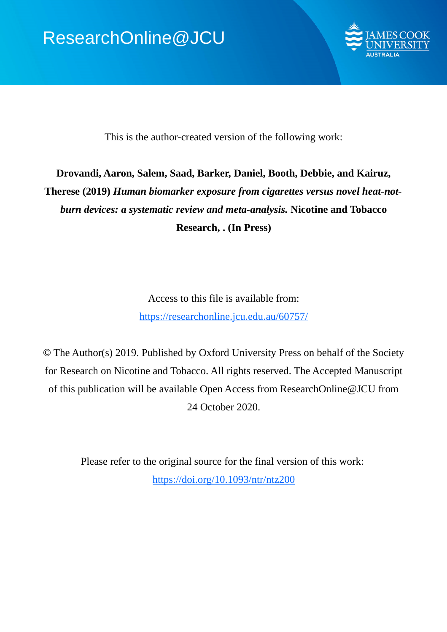

This is the author-created version of the following work:

# **Drovandi, Aaron, Salem, Saad, Barker, Daniel, Booth, Debbie, and Kairuz, Therese (2019)** *Human biomarker exposure from cigarettes versus novel heat-notburn devices: a systematic review and meta-analysis.* **Nicotine and Tobacco Research, . (In Press)**

Access to this file is available from: https://researchonline.jcu.edu.au/60757/

© The Author(s) 2019. Published by Oxford University Press on behalf of the Society for Research on Nicotine and Tobacco. All rights reserved. The Accepted Manuscript of this publication will be available Open Access from ResearchOnline@JCU from 24 October 2020.

> Please refer to the original source for the final version of this work: https://doi.org/10.1093/ntr/ntz200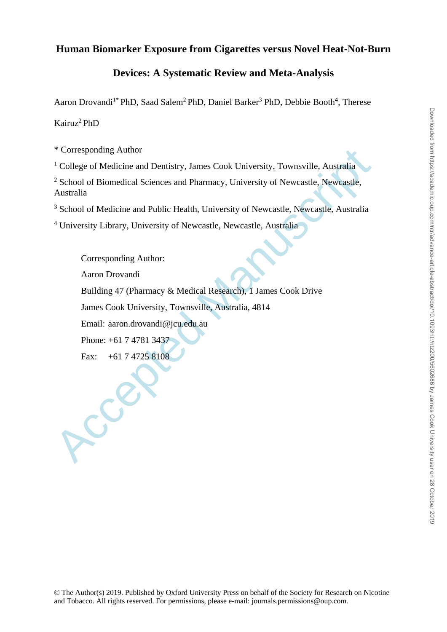# **Human Biomarker Exposure from Cigarettes versus Novel Heat-Not-Burn**

# **Devices: A Systematic Review and Meta-Analysis**

Aaron Drovandi<sup>1\*</sup> PhD, Saad Salem<sup>2</sup> PhD, Daniel Barker<sup>3</sup> PhD, Debbie Booth<sup>4</sup>, Therese

Kairuz<sup>2</sup> PhD

\* Corresponding Author

<sup>1</sup> College of Medicine and Dentistry, James Cook University, Townsville, Australia

<sup>2</sup> School of Biomedical Sciences and Pharmacy, University of Newcastle, Newcastle, Australia

<sup>3</sup> School of Medicine and Public Health, University of Newcastle, Newcastle, Australia

<sup>4</sup> University Library, University of Newcastle, Newcastle, Australia

\* Corresponding Author<br>
<sup>1</sup> College of Medicine and Dentistry, James Cook University, Townsville, Australia<br>
2 School of Biomedical Sciences and Pharmacy, University of Newcastle, Newcastle,<br>
<sup>3</sup> School of Medicine and Pub Corresponding Author: Aaron Drovandi Building 47 (Pharmacy & Medical Research), 1 James Cook Drive James Cook University, Townsville, Australia, 4814 Email: aaron.drovandi@jcu.edu.au Phone: +61 7 4781 3437 Fax: +61 7 4725 8108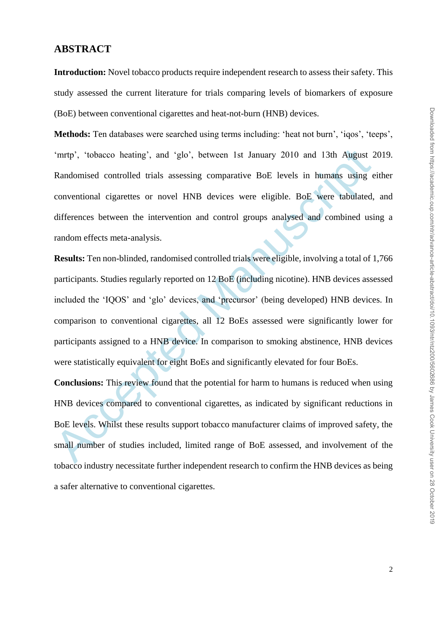### **ABSTRACT**

**Introduction:** Novel tobacco products require independent research to assess their safety. This study assessed the current literature for trials comparing levels of biomarkers of exposure (BoE) between conventional cigarettes and heat-not-burn (HNB) devices.

**Methods:** Ten databases were searched using terms including: 'heat not burn', 'iqos', 'teeps', 'mrtp', 'tobacco heating', and 'glo', between 1st January 2010 and 13th August 2019. Randomised controlled trials assessing comparative BoE levels in humans using either conventional cigarettes or novel HNB devices were eligible. BoE were tabulated, and differences between the intervention and control groups analysed and combined using a random effects meta-analysis.

'nntp', 'tobacco heating', and 'glo', between 1st January 2010 and 13th August 2<br>Randomised controlled trials assessing comparative BoE levels in humans using e<br>conventional cigarettes or novel HNB devices were eligible. B **Results:** Ten non-blinded, randomised controlled trials were eligible, involving a total of 1,766 participants. Studies regularly reported on 12 BoE (including nicotine). HNB devices assessed included the 'IQOS' and 'glo' devices, and 'precursor' (being developed) HNB devices. In comparison to conventional cigarettes, all 12 BoEs assessed were significantly lower for participants assigned to a HNB device. In comparison to smoking abstinence, HNB devices were statistically equivalent for eight BoEs and significantly elevated for four BoEs.

**Conclusions:** This review found that the potential for harm to humans is reduced when using HNB devices compared to conventional cigarettes, as indicated by significant reductions in BoE levels. Whilst these results support tobacco manufacturer claims of improved safety, the small number of studies included, limited range of BoE assessed, and involvement of the tobacco industry necessitate further independent research to confirm the HNB devices as being a safer alternative to conventional cigarettes.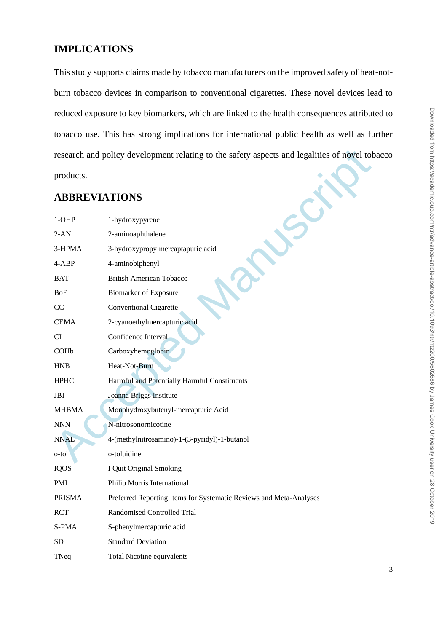# **IMPLICATIONS**

This study supports claims made by tobacco manufacturers on the improved safety of heat-notburn tobacco devices in comparison to conventional cigarettes. These novel devices lead to reduced exposure to key biomarkers, which are linked to the health consequences attributed to tobacco use. This has strong implications for international public health as well as further research and policy development relating to the safety aspects and legalities of novel tobacco products.

# **ABBREVIATIONS**

|                           | research and policy development relating to the safety aspects and legalities of novel tob |
|---------------------------|--------------------------------------------------------------------------------------------|
| products.                 |                                                                                            |
| <b>ABBREVIATIONS</b>      |                                                                                            |
| $1-OHP$                   | 1-hydroxypyrene                                                                            |
| $2-AN$                    | 2-aminoaphthalene                                                                          |
| 3-HPMA                    | 3-hydroxypropylmercaptapuric acid                                                          |
| 4-ABP                     | 4-aminobiphenyl                                                                            |
| <b>BAT</b>                | <b>British American Tobacco</b>                                                            |
| <b>BoE</b>                | <b>Biomarker of Exposure</b>                                                               |
| CC                        | <b>Conventional Cigarette</b>                                                              |
| <b>CEMA</b>               | 2-cyanoethylmercapturic acid                                                               |
| <b>CI</b>                 | Confidence Interval                                                                        |
| COHb                      | Carboxyhemoglobin                                                                          |
| <b>HNB</b>                | Heat-Not-Burn                                                                              |
| <b>HPHC</b>               | Harmful and Potentially Harmful Constituents                                               |
| <b>JBI</b>                | Joanna Briggs Institute                                                                    |
| <b>MHBMA</b>              | Monohydroxybutenyl-mercapturic Acid                                                        |
| $\ensuremath{\text{NNN}}$ | N-nitrosonornicotine                                                                       |
| <b>NNAL</b>               | 4-(methylnitrosamino)-1-(3-pyridyl)-1-butanol                                              |
| o-tol                     | o-toluidine                                                                                |
| <b>IQOS</b>               | I Quit Original Smoking                                                                    |
| PMI                       | Philip Morris International                                                                |
| <b>PRISMA</b>             | Preferred Reporting Items for Systematic Reviews and Meta-Analyses                         |
| <b>RCT</b>                | <b>Randomised Controlled Trial</b>                                                         |
| S-PMA                     | S-phenylmercapturic acid                                                                   |
| SD                        | <b>Standard Deviation</b>                                                                  |
| TNeq                      | <b>Total Nicotine equivalents</b>                                                          |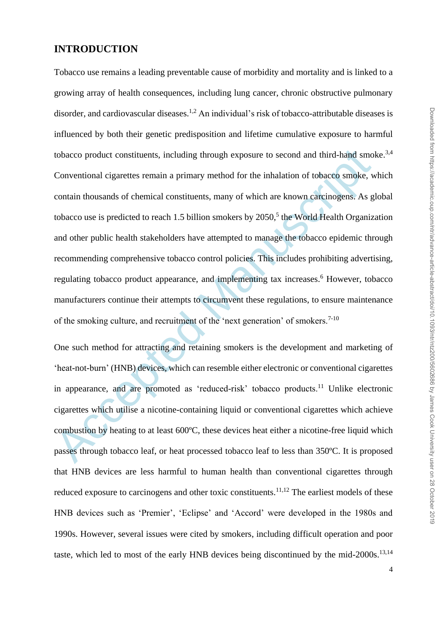### **INTRODUCTION**

tobacco product constituents, including through exposure to second and third-hand smo<br>Conventional cigarettes remain a primary method for the inhalation of tobacco smoke, we<br>contain thousands of chemical constituents, man Tobacco use remains a leading preventable cause of morbidity and mortality and is linked to a growing array of health consequences, including lung cancer, chronic obstructive pulmonary disorder, and cardiovascular diseases.<sup>1,2</sup> An individual's risk of tobacco-attributable diseases is influenced by both their genetic predisposition and lifetime cumulative exposure to harmful tobacco product constituents, including through exposure to second and third-hand smoke.<sup>3,4</sup> Conventional cigarettes remain a primary method for the inhalation of tobacco smoke, which contain thousands of chemical constituents, many of which are known carcinogens. As global tobacco use is predicted to reach 1.5 billion smokers by 2050, 5 the World Health Organization and other public health stakeholders have attempted to manage the tobacco epidemic through recommending comprehensive tobacco control policies. This includes prohibiting advertising, regulating tobacco product appearance, and implementing tax increases. <sup>6</sup> However, tobacco manufacturers continue their attempts to circumvent these regulations, to ensure maintenance of the smoking culture, and recruitment of the 'next generation' of smokers.<sup>7-10</sup>

One such method for attracting and retaining smokers is the development and marketing of 'heat-not-burn' (HNB) devices, which can resemble either electronic or conventional cigarettes in appearance, and are promoted as 'reduced-risk' tobacco products.<sup>11</sup> Unlike electronic cigarettes which utilise a nicotine-containing liquid or conventional cigarettes which achieve combustion by heating to at least 600ºC, these devices heat either a nicotine-free liquid which passes through tobacco leaf, or heat processed tobacco leaf to less than 350ºC. It is proposed that HNB devices are less harmful to human health than conventional cigarettes through reduced exposure to carcinogens and other toxic constituents.<sup>11,12</sup> The earliest models of these HNB devices such as 'Premier', 'Eclipse' and 'Accord' were developed in the 1980s and 1990s. However, several issues were cited by smokers, including difficult operation and poor taste, which led to most of the early HNB devices being discontinued by the mid- $2000s$ <sup>13,14</sup>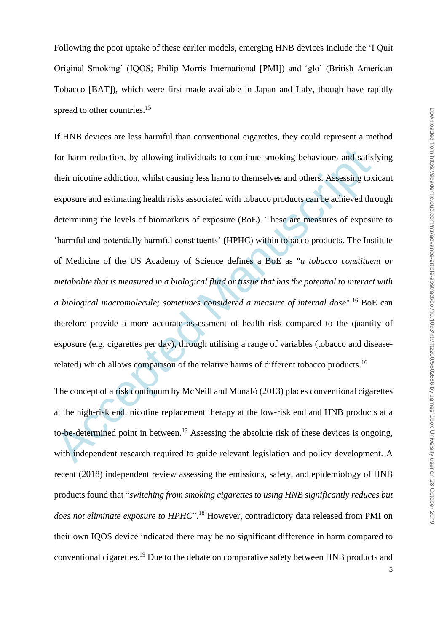Following the poor uptake of these earlier models, emerging HNB devices include the 'I Quit Original Smoking' (IQOS; Philip Morris International [PMI]) and 'glo' (British American Tobacco [BAT]), which were first made available in Japan and Italy, though have rapidly spread to other countries.<sup>15</sup>

for harm reduction, by allowing individuals to continue smoking behaviours and satist<br>their nicotine addiction, whilst causing less harm to themselves and others. Assessing tox<br>exposure and estimating health risks associa If HNB devices are less harmful than conventional cigarettes, they could represent a method for harm reduction, by allowing individuals to continue smoking behaviours and satisfying their nicotine addiction, whilst causing less harm to themselves and others. Assessing toxicant exposure and estimating health risks associated with tobacco products can be achieved through determining the levels of biomarkers of exposure (BoE). These are measures of exposure to 'harmful and potentially harmful constituents' (HPHC) within tobacco products. The Institute of Medicine of the US Academy of Science defines a BoE as "*a tobacco constituent or metabolite that is measured in a biological fluid or tissue that has the potential to interact with a biological macromolecule; sometimes considered a measure of internal dose*".<sup>16</sup> BoE can therefore provide a more accurate assessment of health risk compared to the quantity of exposure (e.g. cigarettes per day), through utilising a range of variables (tobacco and diseaserelated) which allows comparison of the relative harms of different tobacco products.<sup>16</sup>

The concept of a risk continuum by McNeill and Munafò (2013) places conventional cigarettes at the high-risk end, nicotine replacement therapy at the low-risk end and HNB products at a to-be-determined point in between.<sup>17</sup> Assessing the absolute risk of these devices is ongoing, with independent research required to guide relevant legislation and policy development. A recent (2018) independent review assessing the emissions, safety, and epidemiology of HNB products found that "*switching from smoking cigarettes to using HNB significantly reduces but does not eliminate exposure to HPHC*". <sup>18</sup> However, contradictory data released from PMI on their own IQOS device indicated there may be no significant difference in harm compared to conventional cigarettes.<sup>19</sup> Due to the debate on comparative safety between HNB products and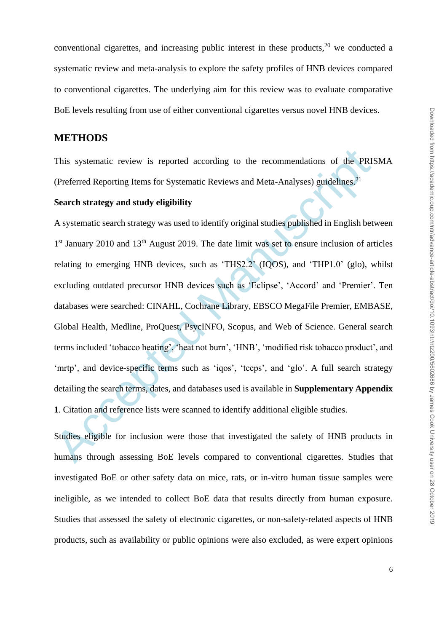conventional cigarettes, and increasing public interest in these products, $20$  we conducted a systematic review and meta-analysis to explore the safety profiles of HNB devices compared to conventional cigarettes. The underlying aim for this review was to evaluate comparative BoE levels resulting from use of either conventional cigarettes versus novel HNB devices.

### **METHODS**

This systematic review is reported according to the recommendations of the PRISMA (Preferred Reporting Items for Systematic Reviews and Meta-Analyses) guidelines.<sup>21</sup>

#### **Search strategy and study eligibility**

This systematic review is reported according to the recommendations of the PRI<br>(Preferred Reporting Items for Systematic Reviews and Meta-Analyses) guidelines.<sup>21</sup><br>Search strategy and study eligibility<br>A systematic search A systematic search strategy was used to identify original studies published in English between 1<sup>st</sup> January 2010 and 13<sup>th</sup> August 2019. The date limit was set to ensure inclusion of articles relating to emerging HNB devices, such as 'THS2.2' (IQOS), and 'THP1.0' (glo), whilst excluding outdated precursor HNB devices such as 'Eclipse', 'Accord' and 'Premier'. Ten databases were searched: CINAHL, Cochrane Library, EBSCO MegaFile Premier, EMBASE, Global Health, Medline, ProQuest, PsycINFO, Scopus, and Web of Science. General search terms included 'tobacco heating', 'heat not burn', 'HNB', 'modified risk tobacco product', and 'mrtp', and device-specific terms such as 'iqos', 'teeps', and 'glo'. A full search strategy detailing the search terms, dates, and databases used is available in **Supplementary Appendix 1**. Citation and reference lists were scanned to identify additional eligible studies.

Studies eligible for inclusion were those that investigated the safety of HNB products in humans through assessing BoE levels compared to conventional cigarettes. Studies that investigated BoE or other safety data on mice, rats, or in-vitro human tissue samples were ineligible, as we intended to collect BoE data that results directly from human exposure. Studies that assessed the safety of electronic cigarettes, or non-safety-related aspects of HNB products, such as availability or public opinions were also excluded, as were expert opinions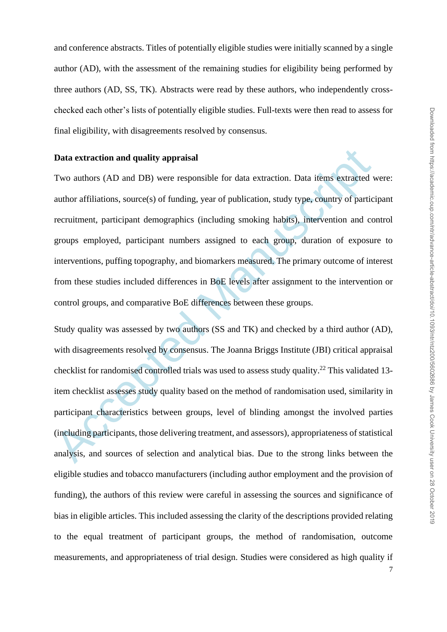and conference abstracts. Titles of potentially eligible studies were initially scanned by a single author (AD), with the assessment of the remaining studies for eligibility being performed by three authors (AD, SS, TK). Abstracts were read by these authors, who independently crosschecked each other's lists of potentially eligible studies. Full-texts were then read to assess for final eligibility, with disagreements resolved by consensus.

### **Data extraction and quality appraisal**

Two authors (AD and DB) were responsible for data extraction. Data items extracted were: author affiliations, source(s) of funding, year of publication, study type, country of participant recruitment, participant demographics (including smoking habits), intervention and control groups employed, participant numbers assigned to each group, duration of exposure to interventions, puffing topography, and biomarkers measured. The primary outcome of interest from these studies included differences in BoE levels after assignment to the intervention or control groups, and comparative BoE differences between these groups.

Data extraction and quality appraisal<br>Two authors (AD and DB) were responsible for data extraction. Data items extracted v<br>author affiliations, source(s) of funding, year of publication, study type, country of partic<br>recru Study quality was assessed by two authors (SS and TK) and checked by a third author (AD), with disagreements resolved by consensus. The Joanna Briggs Institute (JBI) critical appraisal checklist for randomised controlled trials was used to assess study quality.<sup>22</sup> This validated 13 item checklist assesses study quality based on the method of randomisation used, similarity in participant characteristics between groups, level of blinding amongst the involved parties (including participants, those delivering treatment, and assessors), appropriateness of statistical analysis, and sources of selection and analytical bias. Due to the strong links between the eligible studies and tobacco manufacturers (including author employment and the provision of funding), the authors of this review were careful in assessing the sources and significance of bias in eligible articles. This included assessing the clarity of the descriptions provided relating to the equal treatment of participant groups, the method of randomisation, outcome measurements, and appropriateness of trial design. Studies were considered as high quality if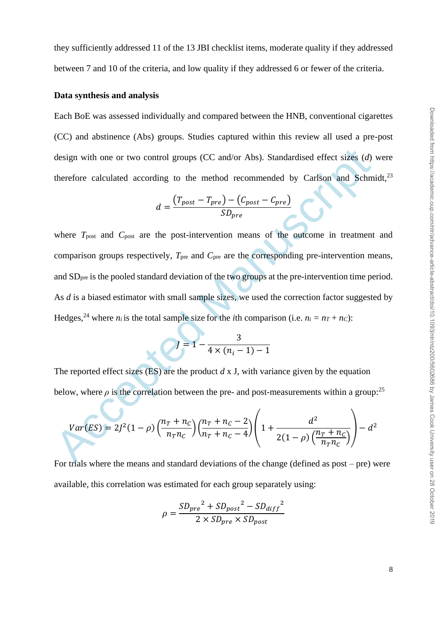they sufficiently addressed 11 of the 13 JBI checklist items, moderate quality if they addressed between 7 and 10 of the criteria, and low quality if they addressed 6 or fewer of the criteria.

### **Data synthesis and analysis**

Each BoE was assessed individually and compared between the HNB, conventional cigarettes (CC) and abstinence (Abs) groups. Studies captured within this review all used a pre-post design with one or two control groups (CC and/or Abs). Standardised effect sizes (*d*) were therefore calculated according to the method recommended by Carlson and Schmidt,<sup>23</sup>

$$
d = \frac{(T_{post} - T_{pre}) - (C_{post} - C_{pre})}{SD_{pre}}
$$

design with one or two control groups (CC and/or Abs). Standardised effect sizes (*d*)<br>therefore calculated according to the method recommended by Carlson and Schm<br> $d = \frac{(T_{post} - T_{pre}) - (C_{post} - C_{pre})}{SD_{pre}}$ <br>where  $T_{post}$  and  $C_{post}$  where  $T_{\text{post}}$  and  $C_{\text{post}}$  are the post-intervention means of the outcome in treatment and comparison groups respectively, *T*pre and *C*pre are the corresponding pre-intervention means, and SDpre is the pooled standard deviation of the two groups at the pre-intervention time period. As *d* is a biased estimator with small sample sizes, we used the correction factor suggested by Hedges, <sup>24</sup> where  $n_i$  is the total sample size for the *i*th comparison (i.e.  $n_i = nT + nc$ ):

$$
I = 1 - \frac{3}{4 \times (n_i - 1) - 1}
$$

The reported effect sizes (ES) are the product *d* x J, with variance given by the equation below, where  $\rho$  is the correlation between the pre- and post-measurements within a group:<sup>25</sup>

$$
Var(ES) = 2J^{2}(1 - \rho) \left(\frac{n_{T} + n_{C}}{n_{T}n_{C}}\right) \left(\frac{n_{T} + n_{C} - 2}{n_{T} + n_{C} - 4}\right) \left(1 + \frac{d^{2}}{2(1 - \rho) \left(\frac{n_{T} + n_{C}}{n_{T}n_{C}}\right)}\right) - d^{2}
$$

For trials where the means and standard deviations of the change (defined as post – pre) were available, this correlation was estimated for each group separately using:

$$
\rho = \frac{SD_{pre}^2 + SD_{post}^2 - SD_{diff}^2}{2 \times SD_{pre} \times SD_{post}}
$$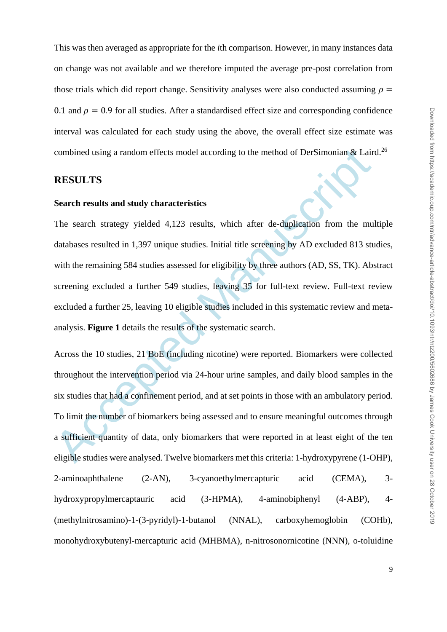This was then averaged as appropriate for the *i*th comparison. However, in many instances data on change was not available and we therefore imputed the average pre-post correlation from those trials which did report change. Sensitivity analyses were also conducted assuming  $\rho =$ 0.1 and  $\rho = 0.9$  for all studies. After a standardised effect size and corresponding confidence interval was calculated for each study using the above, the overall effect size estimate was combined using a random effects model according to the method of DerSimonian & Laird.<sup>26</sup>

### **RESULTS**

#### **Search results and study characteristics**

combined using a random effects model according to the method of DerSimonian & Lair<br> **RESULTS**<br> **Search results and study characteristics**<br>
The search strategy yielded 4,123 results, which after de-duplication from the mui The search strategy yielded 4,123 results, which after de-duplication from the multiple databases resulted in 1,397 unique studies. Initial title screening by AD excluded 813 studies, with the remaining 584 studies assessed for eligibility by three authors (AD, SS, TK). Abstract screening excluded a further 549 studies, leaving 35 for full-text review. Full-text review excluded a further 25, leaving 10 eligible studies included in this systematic review and metaanalysis. **Figure 1** details the results of the systematic search.

Across the 10 studies, 21 BoE (including nicotine) were reported. Biomarkers were collected throughout the intervention period via 24-hour urine samples, and daily blood samples in the six studies that had a confinement period, and at set points in those with an ambulatory period. To limit the number of biomarkers being assessed and to ensure meaningful outcomes through a sufficient quantity of data, only biomarkers that were reported in at least eight of the ten eligible studies were analysed. Twelve biomarkers met this criteria: 1-hydroxypyrene (1-OHP), 2-aminoaphthalene (2-AN), 3-cyanoethylmercapturic acid (CEMA), 3 hydroxypropylmercaptauric acid (3-HPMA), 4-aminobiphenyl (4-ABP), 4- (methylnitrosamino)-1-(3-pyridyl)-1-butanol (NNAL), carboxyhemoglobin (COHb), monohydroxybutenyl-mercapturic acid (MHBMA), n-nitrosonornicotine (NNN), o-toluidine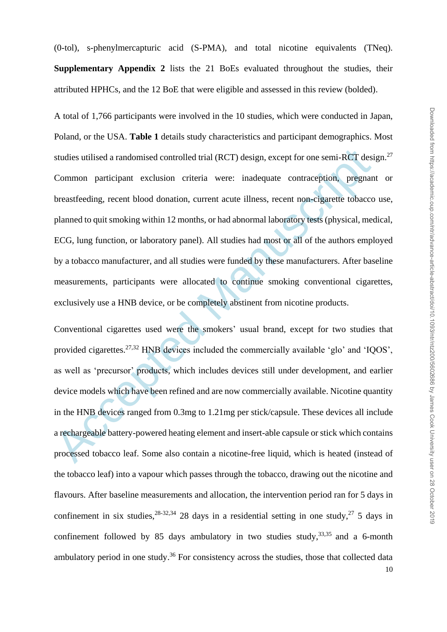studies utilised a randomised controlled trial (RCT) design, except for one semi-RCT desi<br>Common participant exclusion criteria were: inadequate contraception, pregnan<br>breastfeeding, recent blood donation, current acute il A total of 1,766 participants were involved in the 10 studies, which were conducted in Japan, Poland, or the USA. **Table 1** details study characteristics and participant demographics. Most studies utilised a randomised controlled trial (RCT) design, except for one semi-RCT design.<sup>27</sup> Common participant exclusion criteria were: inadequate contraception, pregnant or breastfeeding, recent blood donation, current acute illness, recent non-cigarette tobacco use, planned to quit smoking within 12 months, or had abnormal laboratory tests (physical, medical, ECG, lung function, or laboratory panel). All studies had most or all of the authors employed by a tobacco manufacturer, and all studies were funded by these manufacturers. After baseline measurements, participants were allocated to continue smoking conventional cigarettes, exclusively use a HNB device, or be completely abstinent from nicotine products.

10 Conventional cigarettes used were the smokers' usual brand, except for two studies that provided cigarettes.27,32 HNB devices included the commercially available 'glo' and 'IQOS', as well as 'precursor' products, which includes devices still under development, and earlier device models which have been refined and are now commercially available. Nicotine quantity in the HNB devices ranged from 0.3mg to 1.21mg per stick/capsule. These devices all include a rechargeable battery-powered heating element and insert-able capsule or stick which contains processed tobacco leaf. Some also contain a nicotine-free liquid, which is heated (instead of the tobacco leaf) into a vapour which passes through the tobacco, drawing out the nicotine and flavours. After baseline measurements and allocation, the intervention period ran for 5 days in confinement in six studies,  $28-32,34$  28 days in a residential setting in one study,  $27$  5 days in confinement followed by 85 days ambulatory in two studies study,  $33,35$  and a 6-month ambulatory period in one study.<sup>36</sup> For consistency across the studies, those that collected data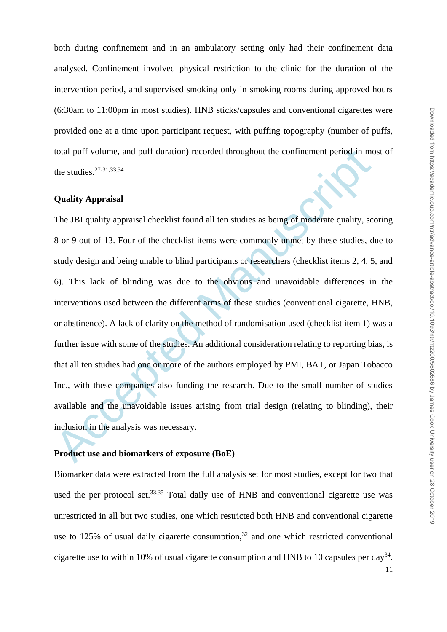11

both during confinement and in an ambulatory setting only had their confinement data analysed. Confinement involved physical restriction to the clinic for the duration of the intervention period, and supervised smoking only in smoking rooms during approved hours (6:30am to 11:00pm in most studies). HNB sticks/capsules and conventional cigarettes were provided one at a time upon participant request, with puffing topography (number of puffs, total puff volume, and puff duration) recorded throughout the confinement period in most of the studies. 27-31,33,34

### **Quality Appraisal**

total puff volume, and puff duration) recorded throughout the confinement period in mc<br>the studies.<sup>27-31,33,34</sup><br>Quality Appraisal<br>The JBI quality appraisal checklist found all ten studies as being of moderate quality, see The JBI quality appraisal checklist found all ten studies as being of moderate quality, scoring 8 or 9 out of 13. Four of the checklist items were commonly unmet by these studies, due to study design and being unable to blind participants or researchers (checklist items 2, 4, 5, and 6). This lack of blinding was due to the obvious and unavoidable differences in the interventions used between the different arms of these studies (conventional cigarette, HNB, or abstinence). A lack of clarity on the method of randomisation used (checklist item 1) was a further issue with some of the studies. An additional consideration relating to reporting bias, is that all ten studies had one or more of the authors employed by PMI, BAT, or Japan Tobacco Inc., with these companies also funding the research. Due to the small number of studies available and the unavoidable issues arising from trial design (relating to blinding), their inclusion in the analysis was necessary.

#### **Product use and biomarkers of exposure (BoE)**

Biomarker data were extracted from the full analysis set for most studies, except for two that used the per protocol set.<sup>33,35</sup> Total daily use of HNB and conventional cigarette use was unrestricted in all but two studies, one which restricted both HNB and conventional cigarette use to 125% of usual daily cigarette consumption, $32$  and one which restricted conventional cigarette use to within 10% of usual cigarette consumption and HNB to 10 capsules per day<sup>34</sup>.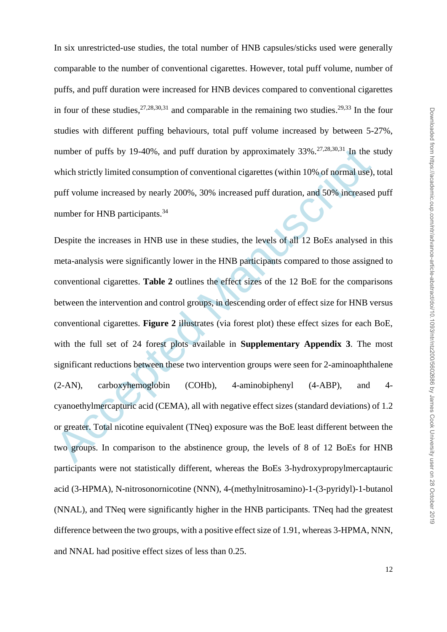In six unrestricted-use studies, the total number of HNB capsules/sticks used were generally comparable to the number of conventional cigarettes. However, total puff volume, number of puffs, and puff duration were increased for HNB devices compared to conventional cigarettes in four of these studies,  $27,28,30,31$  and comparable in the remaining two studies.  $29,33$  In the four studies with different puffing behaviours, total puff volume increased by between 5-27%, number of puffs by 19-40%, and puff duration by approximately  $33\%$ <sup>27,28,30,31</sup> In the study which strictly limited consumption of conventional cigarettes (within 10% of normal use), total puff volume increased by nearly 200%, 30% increased puff duration, and 50% increased puff number for HNB participants.<sup>34</sup>

number of puffs by 19-40%, and puff duration by approximately 33%,<sup>27,28,30</sup>.<sup>31</sup> In the s<br>which strictly limited consumption of conventional cigarettes (within 10% of normal use),<br>puff volume increased by nearly 200%, 30% Despite the increases in HNB use in these studies, the levels of all 12 BoEs analysed in this meta-analysis were significantly lower in the HNB participants compared to those assigned to conventional cigarettes. **Table 2** outlines the effect sizes of the 12 BoE for the comparisons between the intervention and control groups, in descending order of effect size for HNB versus conventional cigarettes. **Figure 2** illustrates (via forest plot) these effect sizes for each BoE, with the full set of 24 forest plots available in **Supplementary Appendix 3**. The most significant reductions between these two intervention groups were seen for 2-aminoaphthalene (2-AN), carboxyhemoglobin (COHb), 4-aminobiphenyl (4-ABP), and 4 cyanoethylmercapturic acid (CEMA), all with negative effect sizes (standard deviations) of 1.2 or greater. Total nicotine equivalent (TNeq) exposure was the BoE least different between the two groups. In comparison to the abstinence group, the levels of 8 of 12 BoEs for HNB participants were not statistically different, whereas the BoEs 3-hydroxypropylmercaptauric acid (3-HPMA), N-nitrosonornicotine (NNN), 4-(methylnitrosamino)-1-(3-pyridyl)-1-butanol (NNAL), and TNeq were significantly higher in the HNB participants. TNeq had the greatest difference between the two groups, with a positive effect size of 1.91, whereas 3-HPMA, NNN, and NNAL had positive effect sizes of less than 0.25.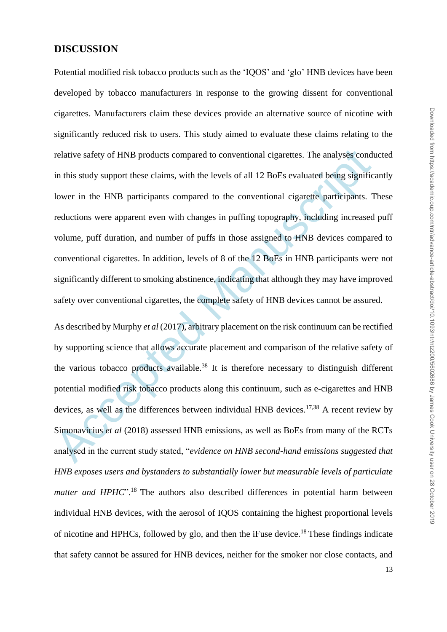### **DISCUSSION**

relative safety of HNB products compared to conventional eigarettes. The analyses cond<br>in this study support these claims, with the levels of all 12 BoEs evaluated being signific<br>lower in the HNB participants compared to Potential modified risk tobacco products such as the 'IOOS' and 'glo' HNB devices have been developed by tobacco manufacturers in response to the growing dissent for conventional cigarettes. Manufacturers claim these devices provide an alternative source of nicotine with significantly reduced risk to users. This study aimed to evaluate these claims relating to the relative safety of HNB products compared to conventional cigarettes. The analyses conducted in this study support these claims, with the levels of all 12 BoEs evaluated being significantly lower in the HNB participants compared to the conventional cigarette participants. These reductions were apparent even with changes in puffing topography, including increased puff volume, puff duration, and number of puffs in those assigned to HNB devices compared to conventional cigarettes. In addition, levels of 8 of the 12 BoEs in HNB participants were not significantly different to smoking abstinence, indicating that although they may have improved safety over conventional cigarettes, the complete safety of HNB devices cannot be assured.

As described by Murphy *et al* (2017), arbitrary placement on the risk continuum can be rectified by supporting science that allows accurate placement and comparison of the relative safety of the various tobacco products available.<sup>38</sup> It is therefore necessary to distinguish different potential modified risk tobacco products along this continuum, such as e-cigarettes and HNB devices, as well as the differences between individual HNB devices. 17,38 A recent review by Simonavicius *et al* (2018) assessed HNB emissions, as well as BoEs from many of the RCTs analysed in the current study stated, "*evidence on HNB second-hand emissions suggested that HNB exposes users and bystanders to substantially lower but measurable levels of particulate matter and HPHC*".<sup>18</sup> The authors also described differences in potential harm between individual HNB devices, with the aerosol of IQOS containing the highest proportional levels of nicotine and HPHCs, followed by glo, and then the iFuse device.<sup>18</sup> These findings indicate that safety cannot be assured for HNB devices, neither for the smoker nor close contacts, and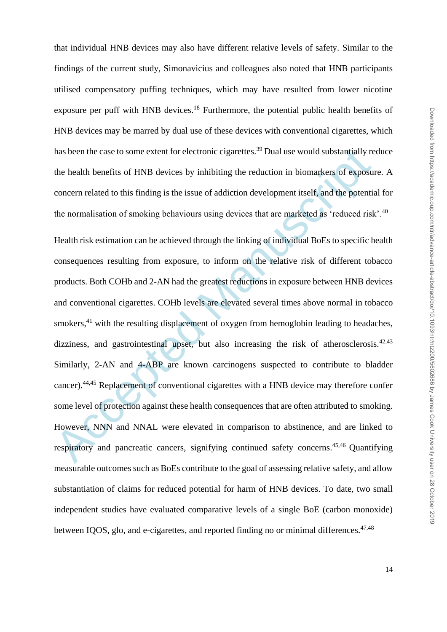that individual HNB devices may also have different relative levels of safety. Similar to the findings of the current study, Simonavicius and colleagues also noted that HNB participants utilised compensatory puffing techniques, which may have resulted from lower nicotine exposure per puff with HNB devices.<sup>18</sup> Furthermore, the potential public health benefits of HNB devices may be marred by dual use of these devices with conventional cigarettes, which has been the case to some extent for electronic cigarettes.<sup>39</sup> Dual use would substantially reduce the health benefits of HNB devices by inhibiting the reduction in biomarkers of exposure. A concern related to this finding is the issue of addiction development itself, and the potential for the normalisation of smoking behaviours using devices that are marketed as 'reduced risk'.<sup>40</sup>

has been the case to some extent for electronic cigarettes.<sup>39</sup> Dual use would substantially re<br>the health benefits of HNB devices by inhibiting the reduction in biomarkers of exposure<br>concern related to this finding is t Health risk estimation can be achieved through the linking of individual BoEs to specific health consequences resulting from exposure, to inform on the relative risk of different tobacco products. Both COHb and 2-AN had the greatest reductions in exposure between HNB devices and conventional cigarettes. COHb levels are elevated several times above normal in tobacco smokers,<sup>41</sup> with the resulting displacement of oxygen from hemoglobin leading to headaches, dizziness, and gastrointestinal upset, but also increasing the risk of atherosclerosis. $42,43$ Similarly, 2-AN and 4-ABP are known carcinogens suspected to contribute to bladder cancer).44,45 Replacement of conventional cigarettes with a HNB device may therefore confer some level of protection against these health consequences that are often attributed to smoking. However, NNN and NNAL were elevated in comparison to abstinence, and are linked to respiratory and pancreatic cancers, signifying continued safety concerns.<sup>45,46</sup> Quantifying measurable outcomes such as BoEs contribute to the goal of assessing relative safety, and allow substantiation of claims for reduced potential for harm of HNB devices. To date, two small independent studies have evaluated comparative levels of a single BoE (carbon monoxide) between IOOS, glo, and e-cigarettes, and reported finding no or minimal differences. $47,48$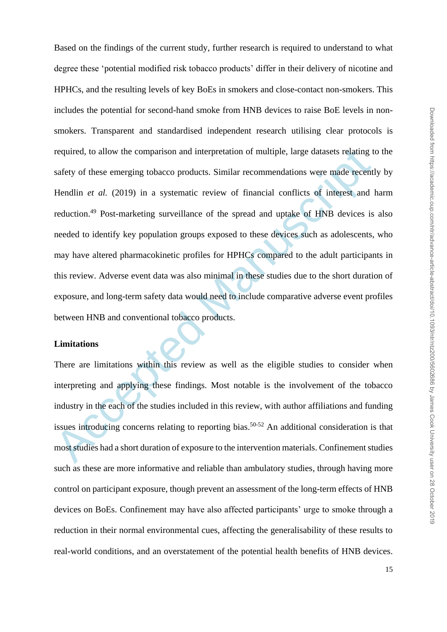required, to allow the comparison and interpretation of multiple, large datasets relating t<br>safety of these emerging tobacco products. Similar recommendations were made recent<br>Hendlin *et al.* (2019) in a systematic review Based on the findings of the current study, further research is required to understand to what degree these 'potential modified risk tobacco products' differ in their delivery of nicotine and HPHCs, and the resulting levels of key BoEs in smokers and close-contact non-smokers. This includes the potential for second-hand smoke from HNB devices to raise BoE levels in nonsmokers. Transparent and standardised independent research utilising clear protocols is required, to allow the comparison and interpretation of multiple, large datasets relating to the safety of these emerging tobacco products. Similar recommendations were made recently by Hendlin *et al.* (2019) in a systematic review of financial conflicts of interest and harm reduction.<sup>49</sup> Post-marketing surveillance of the spread and uptake of HNB devices is also needed to identify key population groups exposed to these devices such as adolescents, who may have altered pharmacokinetic profiles for HPHCs compared to the adult participants in this review. Adverse event data was also minimal in these studies due to the short duration of exposure, and long-term safety data would need to include comparative adverse event profiles between HNB and conventional tobacco products.

### **Limitations**

There are limitations within this review as well as the eligible studies to consider when interpreting and applying these findings. Most notable is the involvement of the tobacco industry in the each of the studies included in this review, with author affiliations and funding issues introducing concerns relating to reporting bias.<sup>50-52</sup> An additional consideration is that most studies had a short duration of exposure to the intervention materials. Confinement studies such as these are more informative and reliable than ambulatory studies, through having more control on participant exposure, though prevent an assessment of the long-term effects of HNB devices on BoEs. Confinement may have also affected participants' urge to smoke through a reduction in their normal environmental cues, affecting the generalisability of these results to real-world conditions, and an overstatement of the potential health benefits of HNB devices.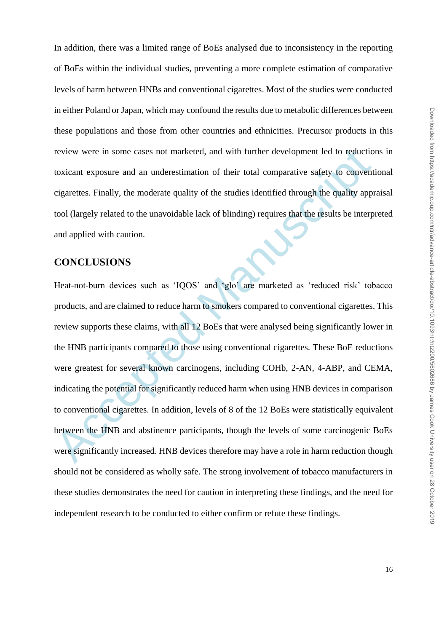In addition, there was a limited range of BoEs analysed due to inconsistency in the reporting of BoEs within the individual studies, preventing a more complete estimation of comparative levels of harm between HNBs and conventional cigarettes. Most of the studies were conducted in either Poland or Japan, which may confound the results due to metabolic differences between these populations and those from other countries and ethnicities. Precursor products in this review were in some cases not marketed, and with further development led to reductions in toxicant exposure and an underestimation of their total comparative safety to conventional cigarettes. Finally, the moderate quality of the studies identified through the quality appraisal tool (largely related to the unavoidable lack of blinding) requires that the results be interpreted and applied with caution.

# **CONCLUSIONS**

review were in some cases not marketed, and with further development led to reductio<br>toxicant exposure and an underestimation of their total comparative safety to convent<br>eigarettes. Finally, the moderate quality of the st Heat-not-burn devices such as 'IQOS' and 'glo' are marketed as 'reduced risk' tobacco products, and are claimed to reduce harm to smokers compared to conventional cigarettes. This review supports these claims, with all 12 BoEs that were analysed being significantly lower in the HNB participants compared to those using conventional cigarettes. These BoE reductions were greatest for several known carcinogens, including COHb, 2-AN, 4-ABP, and CEMA, indicating the potential for significantly reduced harm when using HNB devices in comparison to conventional cigarettes. In addition, levels of 8 of the 12 BoEs were statistically equivalent between the HNB and abstinence participants, though the levels of some carcinogenic BoEs were significantly increased. HNB devices therefore may have a role in harm reduction though should not be considered as wholly safe. The strong involvement of tobacco manufacturers in these studies demonstrates the need for caution in interpreting these findings, and the need for independent research to be conducted to either confirm or refute these findings.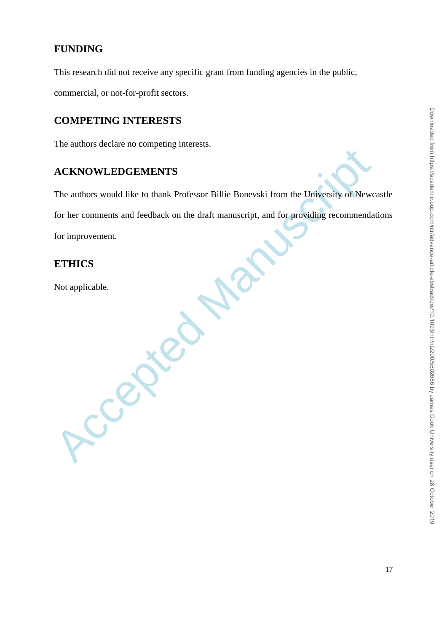# **FUNDING**

This research did not receive any specific grant from funding agencies in the public,

commercial, or not-for-profit sectors.

# **COMPETING INTERESTS**

The authors declare no competing interests.

**Accepted Manuscript** 

# **ACKNOWLEDGEMENTS**

The authors would like to thank Professor Billie Bonevski from the University of Newcastle for her comments and feedback on the draft manuscript, and for providing recommendations for improvement.

# **ETHICS**

Not applicable.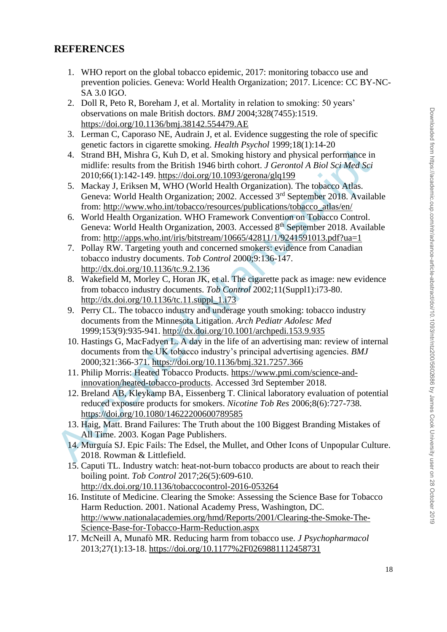### **REFERENCES**

- 1. WHO report on the global tobacco epidemic, 2017: monitoring tobacco use and prevention policies. Geneva: World Health Organization; 2017. Licence: CC BY-NC-SA 3.0 IGO.
- 2. Doll R, Peto R, Boreham J, et al. Mortality in relation to smoking: 50 years' observations on male British doctors. *BMJ* 2004;328(7455):1519. <https://doi.org/10.1136/bmj.38142.554479.AE>
- 3. Lerman C, Caporaso NE, Audrain J, et al. Evidence suggesting the role of specific genetic factors in cigarette smoking. *Health Psychol* 1999;18(1):14-20
- 4. Strand BH, Mishra G, Kuh D, et al. Smoking history and physical performance in midlife: results from the British 1946 birth cohort. *J Gerontol A Biol Sci Med Sci* 2010;66(1):142-149. https://doi.org/10.1093/gerona/glq199
- 5. Mackay J, Eriksen M, WHO (World Health Organization). The tobacco Atlas. Geneva: World Health Organization; 2002. Accessed 3rd September 2018. Available from: http://www.who.int/tobacco/resources/publications/tobacco\_atlas/en/
- 6. World Health Organization. WHO Framework Convention on Tobacco Control. Geneva: World Health Organization, 2003. Accessed 8<sup>th</sup> September 2018. Available from: http://apps.who.int/iris/bitstream/10665/42811/1/9241591013.pdf?ua=1
- 7. Pollay RW. Targeting youth and concerned smokers: evidence from Canadian tobacco industry documents. *Tob Control* 2000;9:136-147. http://dx.doi.org/10.1136/tc.9.2.136
- 8. Wakefield M, Morley C, Horan JK, et al. The cigarette pack as image: new evidence from tobacco industry documents. *Tob Control* 2002;11(Suppl1):i73-80. http://dx.doi.org/10.1136/tc.11.suppl\_1.i73
- 9. Perry CL. The tobacco industry and underage youth smoking: tobacco industry documents from the Minnesota Litigation. *Arch Pediatr Adolesc Med* 1999;153(9):935-941. http://dx.doi.org/10.1001/archpedi.153.9.935
- 4. Stran[d](http://dx.doi.org/10.1001/archpedi.153.9.935) BH, Mishra G. Kuh D, et al. Smoking history and physical performance in midlife: results from the British 1946 bird of [Ma](http://dx.doi.org/10.1136/tc.11.suppl_1.i73)n[us](http://apps.who.int/iris/bitstream/10665/42811/1/9241591013.pdf?ua=1)[cr](http://www.who.int/tobacco/resources/publications/tobacco_atlas/en/)ipt JP (100166(1):142-149. https://doi.org/10.1093/gerona/gtq199<br>
5. Mackay J, Erikse 10. Hastings G, MacFadyen L. A day in the life of an advertising man: review of internal documents from the UK tobacco industry's principal advertising agencies. *BMJ* 2000;321:366-371. https://doi.org/10.1136/bmj.321.7257.366
	- 11. Philip Morris: Heated Tobacco Products. https://www.pmi.com/science-andinnovation/heated-tobacco-products. Accessed 3rd September 2018.
	- 12. Breland AB, Kleykamp BA, Eissenberg T. Clinical laboratory evaluation of potential reduced exposure products for smokers. *Nicotine Tob Res* 2006;8(6):727-738. https://doi.org/10.1080/14622200600789585
	- 13. Haig, Matt. Brand Failures: The Truth about the 100 Biggest Branding Mistakes of All Time. 2003. Kogan Page Publishers.
	- 14. Murguía SJ. Epic Fails: The Edsel, the Mullet, and Other Icons of Unpopular Culture. 2018. Rowman & Littlefield.
	- 15. Caputi TL. Industry watch: heat-not-burn tobacco products are about to reach their boiling point. *Tob Control* 2017;26(5):609-610. <http://dx.doi.org/10.1136/tobaccocontrol-2016-053264>
	- 16. Institute of Medicine. Clearing the Smoke: Assessing the Science Base for Tobacco Harm Reduction. 2001. National Academy Press, Washington, DC. [http://www.nationalacademies.org/hmd/Reports/2001/Clearing-the-Smoke-The-](http://www.nationalacademies.org/hmd/Reports/2001/Clearing-the-Smoke-The-Science-Base-for-Tobacco-Harm-Reduction.aspx)[Science-Base-for-Tobacco-Harm-Reduction.aspx](http://www.nationalacademies.org/hmd/Reports/2001/Clearing-the-Smoke-The-Science-Base-for-Tobacco-Harm-Reduction.aspx)
	- 17. McNeill A, Munafò MR. Reducing harm from tobacco use. *J Psychopharmacol* 2013;27(1):13-18.<https://doi.org/10.1177%2F0269881112458731>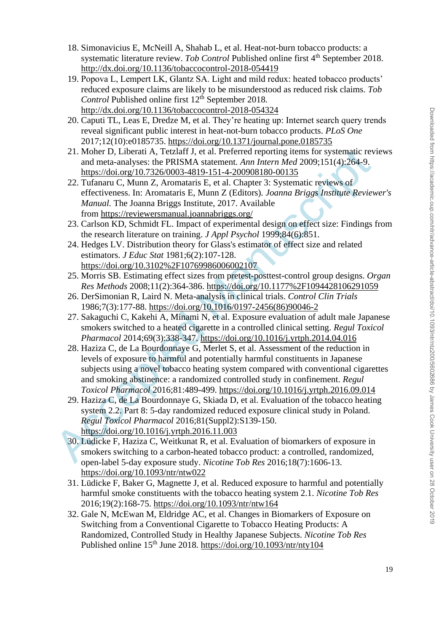- 18. Simonavicius E, McNeill A, Shahab L, et al. Heat-not-burn tobacco products: a systematic literature review. *Tob Control* Published online first 4<sup>th</sup> September 2018. <http://dx.doi.org/10.1136/tobaccocontrol-2018-054419>
- 19. Popova L, Lempert LK, Glantz SA. Light and mild redux: heated tobacco products' reduced exposure claims are likely to be misunderstood as reduced risk claims. *Tob Control* Published online first 12<sup>th</sup> September 2018. <http://dx.doi.org/10.1136/tobaccocontrol-2018-054324>
- 20. Caputi TL, Leas E, Dredze M, et al. They're heating up: Internet search query trends reveal significant public interest in heat-not-burn tobacco products. *PLoS One* 2017;12(10):e0185735.<https://doi.org/10.1371/journal.pone.0185735>
- 21. Moher D, Liberati A, Tetzlaff J, et al. Preferred reporting items for systematic reviews and meta-analyses: the PRISMA statement. *Ann Intern Med* 2009;151(4):264-9. https://doi.org/10.7326/0003-4819-151-4-200908180-00135
- 22. Tufanaru C, Munn Z, Aromataris E, et al. Chapter 3: Systematic reviews of effectiveness. In: Aromataris E, Munn Z (Editors)*. Joanna Briggs Institute Reviewer's Manual.* The Joanna Briggs Institute, 2017. Available from https://reviewersmanual.joannabriggs.org/
- 23. Carlson KD, Schmidt FL. Impact of experimental design on effect size: Findings from the research literature on training. *J Appl Psychol* 1999;84(6):851.
- 24. Hedges LV. Distribution theory for Glass's estimator of effect size and related estimators. *J Educ Stat* 1981;6(2):107-128. https://doi.org/10.3102%2F10769986006002107
- 25. Morris SB. Estimating effect sizes from pretest-posttest-control group designs. *Organ Res Methods* 2008;11(2):364-386. https://doi.org/10.1177%2F1094428106291059
- 26. DerSimonian R, Laird N. Meta-analysis in clinical trials. *Control Clin Trials* 1986;7(3):177-88. https://doi.org/10.1016/0197-2456(86)90046-2
- 27. Sakaguchi C, Kakehi A, Minami N, et al. Exposure evaluation of adult male Japanese smokers switched to a heated cigarette in a controlled clinical setting. *Regul Toxicol Pharmacol* 2014;69(3):338-347. https://doi.org/10.1016/j.yrtph.2014.04.016
- 21. Moher D. Liberati A, Terzlarf J, et al. Preferre[d](https://doi.org/10.1016/j.yrtph.2014.04.016) reporting items for systematic rev and mean anylos: the PRIS[M](https://doi.org/10.1016/0197-2456(86)90046-2)A st[a](https://doi.org/10.1177%2F1094428106291059)teme[n](https://doi.org/10.3102%2F10769986006002107)t. *Ann Intern Med 2009*;151(4):264-9.<br>
22. Turlanaru C, Munn Z, Aromataris E, et al. Chapter 28. Haziza C, de La Bourdonnaye G, Merlet S, et al. Assessment of the reduction in levels of exposure to harmful and potentially harmful constituents in Japanese subjects using a novel tobacco heating system compared with conventional cigarettes and smoking abstinence: a randomized controlled study in confinement. *Regul Toxicol Pharmacol* 2016;81:489-499. https://doi.org/10.1016/j.yrtph.2016.09.014
	- 29. Haziza C, de La Bourdonnaye G, Skiada D, et al. Evaluation of the tobacco heating system 2.2. Part 8: 5-day randomized reduced exposure clinical study in Poland. *Regul Toxicol Pharmacol* 2016;81(Suppl2):S139-150. https://doi.org/10.1016/j.yrtph.2016.11.003
	- 30. Lüdicke F, Haziza C, Weitkunat R, et al. Evaluation of biomarkers of exposure in smokers switching to a carbon-heated tobacco product: a controlled, randomized, open-label 5-day exposure study. *Nicotine Tob Res* 2016;18(7):1606-13. <https://doi.org/10.1093/ntr/ntw022>
	- 31. Lüdicke F, Baker G, Magnette J, et al. Reduced exposure to harmful and potentially harmful smoke constituents with the tobacco heating system 2.1. *Nicotine Tob Res* 2016;19(2):168-75.<https://doi.org/10.1093/ntr/ntw164>
	- 32. Gale N, McEwan M, Eldridge AC, et al. Changes in Biomarkers of Exposure on Switching from a Conventional Cigarette to Tobacco Heating Products: A Randomized, Controlled Study in Healthy Japanese Subjects. *Nicotine Tob Res* Published online 15<sup>th</sup> June 2018.<https://doi.org/10.1093/ntr/nty104>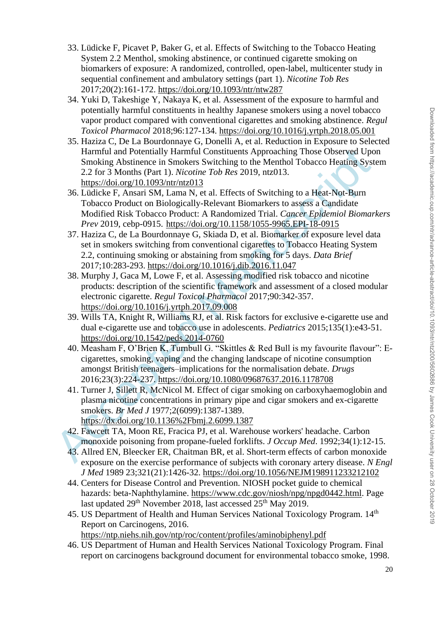- 33. Lüdicke F, Picavet P, Baker G, et al. Effects of Switching to the Tobacco Heating System 2.2 Menthol, smoking abstinence, or continued cigarette smoking on biomarkers of exposure: A randomized, controlled, open-label, multicenter study in sequential confinement and ambulatory settings (part 1). *Nicotine Tob Res* 2017;20(2):161-172.<https://doi.org/10.1093/ntr/ntw287>
- 34. Yuki D, Takeshige Y, Nakaya K, et al. Assessment of the exposure to harmful and potentially harmful constituents in healthy Japanese smokers using a novel tobacco vapor product compared with conventional cigarettes and smoking abstinence. *Regul Toxicol Pharmacol* 2018;96:127-134.<https://doi.org/10.1016/j.yrtph.2018.05.001>
- 35. Haziza C, De La Bourdonnaye G, Donelli A, et al. Reduction in Exposure to Selected Harmful and Potentially Harmful Constituents Approaching Those Observed Upon Smoking Abstinence in Smokers Switching to the Menthol Tobacco Heating System 2.2 for 3 Months (Part 1). *Nicotine Tob Res* 2019, ntz013. https://doi.org/10.1093/ntr/ntz013
- 36. Lüdicke F, Ansari SM, Lama N, et al. Effects of Switching to a Heat-Not-Burn Tobacco Product on Biologically-Relevant Biomarkers to assess a Candidate Modified Risk Tobacco Product: A Randomized Trial. *Cancer Epidemiol Biomarkers Prev* 2019, cebp-0915. https://doi.org/10.1158/1055-9965.EPI-18-0915
- 37. Haziza C, de La Bourdonnaye G, Skiada D, et al. Biomarker of exposure level data set in smokers switching from conventional cigarettes to Tobacco Heating System 2.2, continuing smoking or abstaining from smoking for 5 days. *Data Brief* 2017;10:283-293. https://doi.org/10.1016/j.dib.2016.11.047
- 38. Murphy J, Gaca M, Lowe F, et al. Assessing modified risk tobacco and nicotine products: description of the scientific framework and assessment of a closed modular electronic cigarette. *Regul Toxicol Pharmacol* 2017;90:342-357. https://doi.org/10.1016/j.yrtph.2017.09.008
- 39. Wills TA, Knight R, Williams RJ, et al. Risk factors for exclusive e-cigarette use and dual e-cigarette use and tobacco use in adolescents. *Pediatrics* 2015;135(1):e43-51. https://doi.org/10.1542/peds.2014-0760
- Harmful and Potentially Harmful Constituents Approaching Those Observ[ed](https://doi.org/10.1542/peds.2014-0760) Upc<br>
Smoking Abstinence in Smokers Switching to the [M](https://doi.org/10.1016/j.yrtph.2017.09.008)enthol Tobacco Heating Syst<br>
2.2 for 3 Months (Part 1). *Nicotine* Tob Res 2019, ntz013.<br>
https: 40. Measham F, O'Brien K, Turnbull G. "Skittles & Red Bull is my favourite flavour": Ecigarettes, smoking, vaping and the changing landscape of nicotine consumption amongst British teenagers–implications for the normalisation debate. *Drugs* 2016;23(3):224-237. https://doi.org/10.1080/09687637.2016.1178708
	- 41. Turner J, Sillett R, McNicol M. Effect of cigar smoking on carboxyhaemoglobin and plasma nicotine concentrations in primary pipe and cigar smokers and ex-cigarette smokers. *Br Med J* 1977;2(6099):1387-1389. https://dx.doi.org/10.1136%2Fbmj.2.6099.1387
	- 42. Fawcett TA, Moon RE, Fracica PJ, et al. Warehouse workers' headache. Carbon monoxide poisoning from propane-fueled forklifts. *J Occup Med*. 1992;34(1):12-15.
	- 43. Allred EN, Bleecker ER, Chaitman BR, et al. Short-term effects of carbon monoxide exposure on the exercise performance of subjects with coronary artery disease. *N Engl J Med* 1989 23;321(21):1426-32.<https://doi.org/10.1056/NEJM198911233212102>
	- 44. Centers for Disease Control and Prevention. NIOSH pocket guide to chemical hazards: beta-Naphthylamine. [https://www.cdc.gov/niosh/npg/npgd0442.html.](https://www.cdc.gov/niosh/npg/npgd0442.html) Page last updated 29<sup>th</sup> November 2018, last accessed 25<sup>th</sup> May 2019.
	- 45. US Department of Health and Human Services National Toxicology Program. 14<sup>th</sup> Report on Carcinogens, 2016. <https://ntp.niehs.nih.gov/ntp/roc/content/profiles/aminobiphenyl.pdf>
	- 46. US Department of Human and Health Services National Toxicology Program. Final report on carcinogens background document for environmental tobacco smoke, 1998.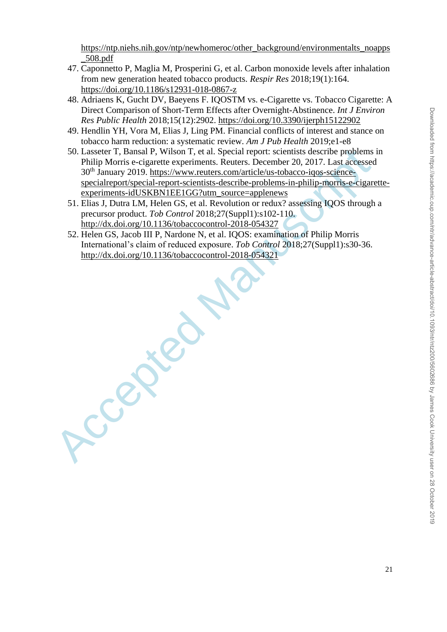[https://ntp.niehs.nih.gov/ntp/newhomeroc/other\\_background/environmentalts\\_noapps](https://ntp.niehs.nih.gov/ntp/newhomeroc/other_background/environmentalts_noapps_508.pdf) [\\_508.pdf](https://ntp.niehs.nih.gov/ntp/newhomeroc/other_background/environmentalts_noapps_508.pdf)

- 47. Caponnetto P, Maglia M, Prosperini G, et al. Carbon monoxide levels after inhalation from new generation heated tobacco products. *Respir Res* 2018;19(1):164. <https://doi.org/10.1186/s12931-018-0867-z>
- 48. Adriaens K, Gucht DV, Baeyens F. IQOSTM vs. e-Cigarette vs. Tobacco Cigarette: A Direct Comparison of Short-Term Effects after Overnight-Abstinence. *Int J Environ Res Public Health* 2018;15(12):2902. <https://doi.org/10.3390/ijerph15122902>
- 49. Hendlin YH, Vora M, Elias J, Ling PM. Financial conflicts of interest and stance on tobacco harm reduction: a systematic review. *Am J Pub Health* 2019;e1-e8
- 50. Lasseter T, Bansal P, Wilson T, et al. Special report: scientists describe problems in Philip Morris e-cigarette experiments. Reuters. December 20, 2017. Last accessed 30th January 2019. https://www.reuters.com/article/us-tobacco-iqos-sciencespecialreport/special-report-scientists-describe-problems-in-philip-morris-e-cigaretteexperiments-idUSKBN1EE1GG?utm\_source=applenews
- 51. Elias J, Dutra LM, Helen GS, et al. Revolution or redux? assessing IQOS through a precursor product. *Tob Control* 2018;27(Suppl1):s102-110. http://dx.doi.org/10.1136/tobaccocontrol-2018-054327
- 52. Helen GS, Jacob III P, Nardone N, et al. IQOS: examination of Philip Morris International's claim of reduced exposure. *Tob Control* 2018;27(Suppl1):s30-36. http://dx.doi.org/10.1136/tobaccocontrol-2018-054321

Accepted Ma[nu](http://dx.doi.org/10.1136/tobaccocontrol-2018-054321)[s](http://dx.doi.org/10.1136/tobaccocontrol-2018-054327)c[ript](https://www.reuters.com/article/us-tobacco-iqos-science-specialreport/special-report-scientists-describe-problems-in-philip-morris-e-cigarette-experiments-idUSKBN1EE1GG?utm_source=applenews)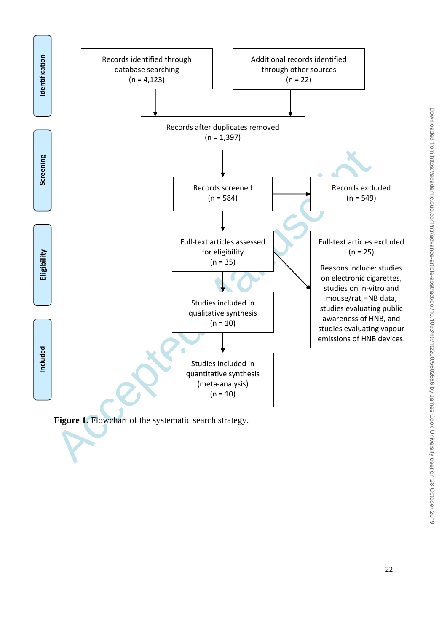

Figure 1. Flowchart of the systematic search strategy.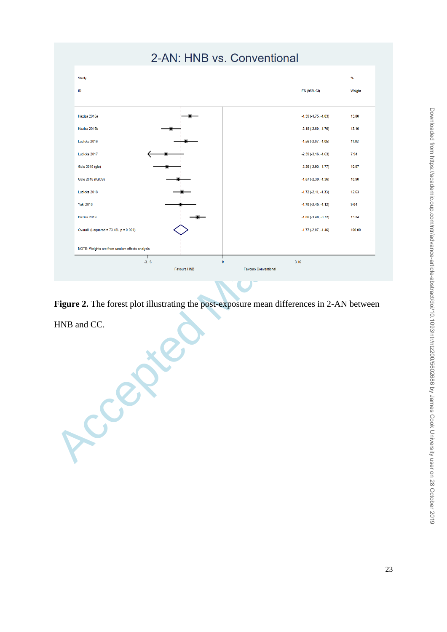

**Figure 2.** The forest plot illustrating the post-exposure mean differences in 2-AN between HNB and CC.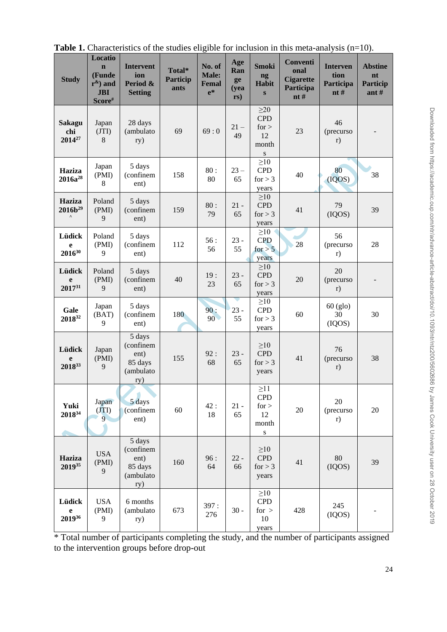| <b>Study</b>                               | Locatio<br>$\mathbf n$<br>(Funde<br>$r^{\&}$ ) and<br><b>JBI</b><br>Score# | <b>Intervent</b><br>ion<br>Period &<br><b>Setting</b>      | Total*<br><b>Particip</b><br>ants | No. of<br>Male:<br>Femal<br>$e^*$ | Age<br>Ran<br>ge<br>( <b>yea</b> )<br>rs) | <b>Smoki</b><br>ng<br><b>Habit</b><br>$\bf{s}$                 | Conventi<br>onal<br><b>Cigarette</b><br>Participa<br>nt# | <b>Interven</b><br>tion<br>Participa<br>nt# | <b>Abstine</b><br>nt<br><b>Particip</b><br>ant $#$ |
|--------------------------------------------|----------------------------------------------------------------------------|------------------------------------------------------------|-----------------------------------|-----------------------------------|-------------------------------------------|----------------------------------------------------------------|----------------------------------------------------------|---------------------------------------------|----------------------------------------------------|
| <b>Sakagu</b><br>chi<br>2014 <sup>27</sup> | Japan<br>(TI)<br>8                                                         | 28 days<br>(ambulato<br>ry)                                | 69                                | 69:0                              | $21 -$<br>49                              | $\geq$ 20<br><b>CPD</b><br>for ><br>12<br>month<br>${\bf S}$   | 23                                                       | 46<br>(precurso<br>r)                       |                                                    |
| Haziza<br>$2016a^{28}$                     | Japan<br>(PMI)<br>$\,8\,$                                                  | 5 days<br>(confinem<br>ent)                                | 158                               | 80:<br>80                         | $23 -$<br>65                              | $\geq 10$<br><b>CPD</b><br>for $> 3$<br>years                  | 40                                                       | 80<br>(IQOS)                                | 38                                                 |
| Haziza<br>$2016b^{29}$                     | Poland<br>(PMI)<br>9                                                       | 5 days<br>(confinem<br>ent)                                | 159                               | 80:<br>79                         | $21 -$<br>65                              | $\geq 10$<br><b>CPD</b><br>for $> 3$<br>years                  | 41                                                       | 79<br>(IQOS)                                | 39                                                 |
| Lüdick<br>e<br>$2016^{30}$                 | Poland<br>(PMI)<br>9                                                       | 5 days<br>(confinem<br>ent)                                | 112                               | 56:<br>56                         | $23 -$<br>55                              | $\geq 10$<br><b>CPD</b><br>for $> 5$<br>years                  | 28                                                       | 56<br>(precurso<br>r)                       | 28                                                 |
| Lüdick<br>e<br>201731                      | Poland<br>(PMI)<br>9                                                       | 5 days<br>(confinem<br>ent)                                | 40                                | 19:<br>23                         | $23 -$<br>65                              | $\geq 10$<br><b>CPD</b><br>for $> 3$<br>years                  | 20                                                       | 20<br>(precurso<br>r)                       |                                                    |
| Gale<br>201832                             | Japan<br>(BAT)<br>9                                                        | 5 days<br>(confinem<br>ent)                                | 180                               | 90:<br>90 <sup>°</sup>            | $23 -$<br>55                              | $\geq 10$<br><b>CPD</b><br>for $> 3$<br>years                  | 60                                                       | $60$ (glo)<br>30<br>(IQOS)                  | 30                                                 |
| Lüdick<br>e<br>201833                      | Japan<br>(PMI)<br>9                                                        | 5 days<br>(confinem<br>ent)<br>85 days<br>(ambulato<br>ry) | 155                               | 92 :<br>68                        | $23 -$<br>65                              | $\geq 10$<br><b>CPD</b><br>for $> 3$<br>years                  | 41                                                       | 76<br>(precurso<br>r)                       | 38                                                 |
| Yuki<br>201834                             | Japan<br>(TT)<br>$\overline{9}$                                            | 5 days<br>(confinem<br>ent)                                | 60                                | 42:<br>18                         | $21 -$<br>65                              | $\geq$ 11<br><b>CPD</b><br>for $>$<br>12<br>month<br>${\bf S}$ | 20                                                       | 20<br>(precurso<br>r)                       | 20                                                 |
| Haziza<br>201935                           | <b>USA</b><br>(PMI)<br>9                                                   | 5 days<br>(confinem<br>ent)<br>85 days<br>(ambulato<br>ry) | 160                               | 96:<br>64                         | $22 -$<br>66                              | $\geq 10$<br><b>CPD</b><br>for $> 3$<br>years                  | 41                                                       | $80\,$<br>(IQOS)                            | 39                                                 |
| Lüdick<br>e<br>201936                      | <b>USA</b><br>(PMI)<br>9                                                   | 6 months<br>(ambulato<br>ry)                               | 673                               | 397:<br>276                       | $30 -$                                    | $\geq 10$<br><b>CPD</b><br>for $>$<br>10<br>years              | 428                                                      | 245<br>(IQOS)                               |                                                    |

**Table 1.** Characteristics of the studies eligible for inclusion in this meta-analysis (n=10).

\* Total number of participants completing the study, and the number of participants assigned to the intervention groups before drop-out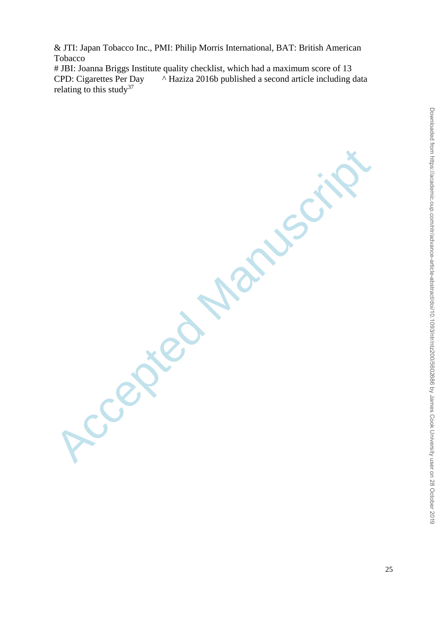& JTI: Japan Tobacco Inc., PMI: Philip Morris International, BAT: British American Tobacco

# JBI: Joanna Briggs Institute quality checklist, which had a maximum score of 13 CPD: Cigarettes Per Day ^ Haziza 2016b published a second article including data relating to this study<sup>37</sup>

Accepted Manuscript